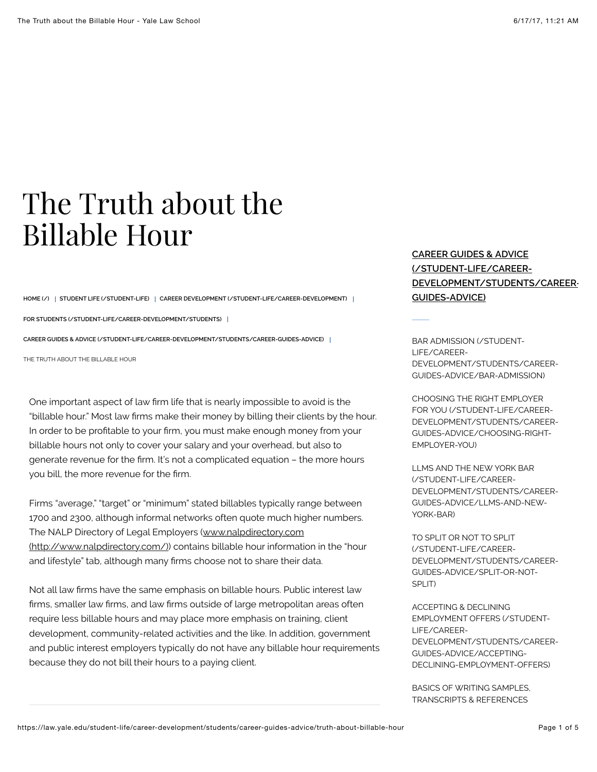## The Truth about the Billable Hour

**[HOME \(/\)](https://law.yale.edu/) [STUDENT LIFE \(/STUDENT-LIFE\)](https://law.yale.edu/student-life) [CAREER DEVELOPMENT \(/STUDENT-LIFE/CAREER-DEVELOPMENT\)](https://law.yale.edu/student-life/career-development)**

**[FOR STUDENTS \(/STUDENT-LIFE/CAREER-DEVELOPMENT/STUDENTS\)](https://law.yale.edu/student-life/career-development/students)**

**[CAREER GUIDES & ADVICE \(/STUDENT-LIFE/CAREER-DEVELOPMENT/STUDENTS/CAREER-GUIDES-ADVICE\)](https://law.yale.edu/student-life/career-development/students/career-guides-advice)**

THE TRUTH ABOUT THE BILLABLE HOUR

One important aspect of law firm life that is nearly impossible to avoid is the "billable hour." Most law firms make their money by billing their clients by the hour. In order to be profitable to your firm, you must make enough money from your billable hours not only to cover your salary and your overhead, but also to generate revenue for the firm. It's not a complicated equation - the more hours you bill, the more revenue for the firm.

Firms "average," "target" or "minimum" stated billables typically range between 1700 and 2300, although informal networks often quote much higher numbers. The NALP Directory of Legal Employers (www.nalpdirectory.com (http://www.nalpdirectory.com/) contains billable hour information in the "hour and lifestyle" tab, although many firms choose not to share their data.

Not all law firms have the same emphasis on billable hours. Public interest law firms, smaller law firms, and law firms outside of large metropolitan areas often require less billable hours and may place more emphasis on training, client development, community-related activities and the like. In addition, government and public interest employers typically do not have any billable hour requirements because they do not bill their hours to a paying client.

## **CAREER GUIDES & ADVICE (/STUDENT-LIFE/CAREER-[DEVELOPMENT/STUDENTS/CAREER-](https://law.yale.edu/student-life/career-development/students/career-guides-advice)GUIDES-ADVICE)**

BAR ADMISSION (/STUDENT-LIFE/CAREER-[DEVELOPMENT/STUDENTS/CAREER-](https://law.yale.edu/student-life/career-development/students/career-guides-advice/bar-admission)GUIDES-ADVICE/BAR-ADMISSION)

CHOOSING THE RIGHT EMPLOYER FOR YOU (/STUDENT-LIFE/CAREER-[DEVELOPMENT/STUDENTS/CAREER-](https://law.yale.edu/student-life/career-development/students/career-guides-advice/choosing-right-employer-you)GUIDES-ADVICE/CHOOSING-RIGHT-EMPLOYER-YOU)

LLMS AND THE NEW YORK BAR (/STUDENT-LIFE/CAREER-[DEVELOPMENT/STUDENTS/CAREER-](https://law.yale.edu/student-life/career-development/students/career-guides-advice/llms-and-new-york-bar)GUIDES-ADVICE/LLMS-AND-NEW-YORK-BAR)

TO SPLIT OR NOT TO SPLIT (/STUDENT-LIFE/CAREER-[DEVELOPMENT/STUDENTS/CAREER-](https://law.yale.edu/student-life/career-development/students/career-guides-advice/split-or-not-split)GUIDES-ADVICE/SPLIT-OR-NOT-SPLIT)

ACCEPTING & DECLINING EMPLOYMENT OFFERS (/STUDENT-LIFE/CAREER-[DEVELOPMENT/STUDENTS/CAREER-](https://law.yale.edu/student-life/career-development/students/career-guides-advice/accepting-declining-employment-offers)GUIDES-ADVICE/ACCEPTING-DECLINING-EMPLOYMENT-OFFERS)

[BASICS OF WRITING SAMPLES,](https://law.yale.edu/student-life/career-development/students/career-guides-advice/basics-writing-samples-transcripts-references) TRANSCRIPTS & REFERENCES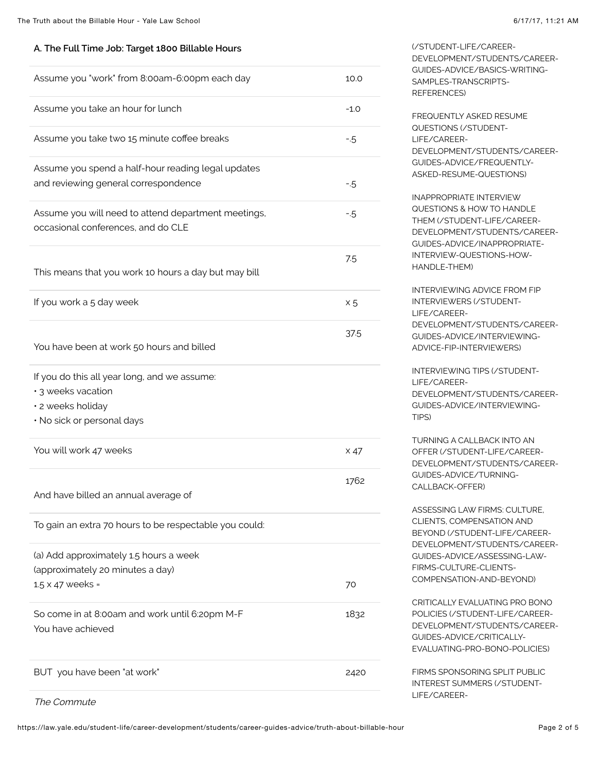## **A. The Full Time Job: Target 1800 Billable Hours**

| Assume you "work" from 8:00am-6:00pm each day                                                                         | 10.0        |
|-----------------------------------------------------------------------------------------------------------------------|-------------|
| Assume you take an hour for lunch                                                                                     | $-1.0$      |
| Assume you take two 15 minute coffee breaks                                                                           | $-5$        |
| Assume you spend a half-hour reading legal updates<br>and reviewing general correspondence                            | $-5$        |
| Assume you will need to attend department meetings,<br>occasional conferences, and do CLE                             | $-5$        |
| This means that you work 10 hours a day but may bill                                                                  | 7.5         |
| If you work a 5 day week                                                                                              | $\times 5$  |
| You have been at work 50 hours and billed                                                                             | 37.5        |
| If you do this all year long, and we assume:<br>· 3 weeks vacation<br>· 2 weeks holiday<br>· No sick or personal days |             |
| You will work 47 weeks                                                                                                | $\times 47$ |
| And have billed an annual average of                                                                                  | 1762        |
| To gain an extra 70 hours to be respectable you could:                                                                |             |
| (a) Add approximately 1.5 hours a week<br>(approximately 20 minutes a day)<br>$1.5 \times 47$ weeks =                 | 70          |
| So come in at 8:00am and work until 6:20pm M-F<br>You have achieved                                                   | 1832        |
| BUT you have been "at work"                                                                                           | 2420        |
|                                                                                                                       |             |

(/STUDENT-LIFE/CAREER-[DEVELOPMENT/STUDENTS/CAREER-](https://law.yale.edu/student-life/career-development/students/career-guides-advice/basics-writing-samples-transcripts-references)GUIDES-ADVICE/BASICS-WRITING-SAMPLES-TRANSCRIPTS-REFERENCES) FREQUENTLY ASKED RESUME

QUESTIONS (/STUDENT-LIFE/CAREER-[DEVELOPMENT/STUDENTS/CAREER-](https://law.yale.edu/student-life/career-development/students/career-guides-advice/frequently-asked-resume-questions)GUIDES-ADVICE/FREQUENTLY-ASKED-RESUME-QUESTIONS)

INAPPROPRIATE INTERVIEW QUESTIONS & HOW TO HANDLE THEM (/STUDENT-LIFE/CAREER-[DEVELOPMENT/STUDENTS/CAREER-](https://law.yale.edu/student-life/career-development/students/career-guides-advice/inappropriate-interview-questions-how-handle-them)GUIDES-ADVICE/INAPPROPRIATE-INTERVIEW-QUESTIONS-HOW-HANDLE-THEM)

INTERVIEWING ADVICE FROM FIP INTERVIEWERS (/STUDENT-LIFE/CAREER-[DEVELOPMENT/STUDENTS/CAREER-](https://law.yale.edu/student-life/career-development/students/career-guides-advice/interviewing-advice-fip-interviewers)GUIDES-ADVICE/INTERVIEWING-ADVICE-FIP-INTERVIEWERS)

INTERVIEWING TIPS (/STUDENT-LIFE/CAREER-[DEVELOPMENT/STUDENTS/CAREER-](https://law.yale.edu/student-life/career-development/students/career-guides-advice/interviewing-tips)GUIDES-ADVICE/INTERVIEWING-TIPS)

TURNING A CALLBACK INTO AN OFFER (/STUDENT-LIFE/CAREER-[DEVELOPMENT/STUDENTS/CAREER-](https://law.yale.edu/student-life/career-development/students/career-guides-advice/turning-callback-offer)GUIDES-ADVICE/TURNING-CALLBACK-OFFER)

ASSESSING LAW FIRMS: CULTURE, CLIENTS, COMPENSATION AND BEYOND (/STUDENT-LIFE/CAREER-[DEVELOPMENT/STUDENTS/CAREER-](https://law.yale.edu/student-life/career-development/students/career-guides-advice/assessing-law-firms-culture-clients-compensation-and-beyond)GUIDES-ADVICE/ASSESSING-LAW-FIRMS-CULTURE-CLIENTS-COMPENSATION-AND-BEYOND)

CRITICALLY EVALUATING PRO BONO POLICIES (/STUDENT-LIFE/CAREER-[DEVELOPMENT/STUDENTS/CAREER-](https://law.yale.edu/student-life/career-development/students/career-guides-advice/critically-evaluating-pro-bono-policies)GUIDES-ADVICE/CRITICALLY-EVALUATING-PRO-BONO-POLICIES)

FIRMS SPONSORING SPLIT PUBLIC [INTEREST SUMMERS \(/STUDENT-](https://law.yale.edu/student-life/career-development/students/career-guides-advice/firms-sponsoring-split-public-interest-summers)LIFE/CAREER-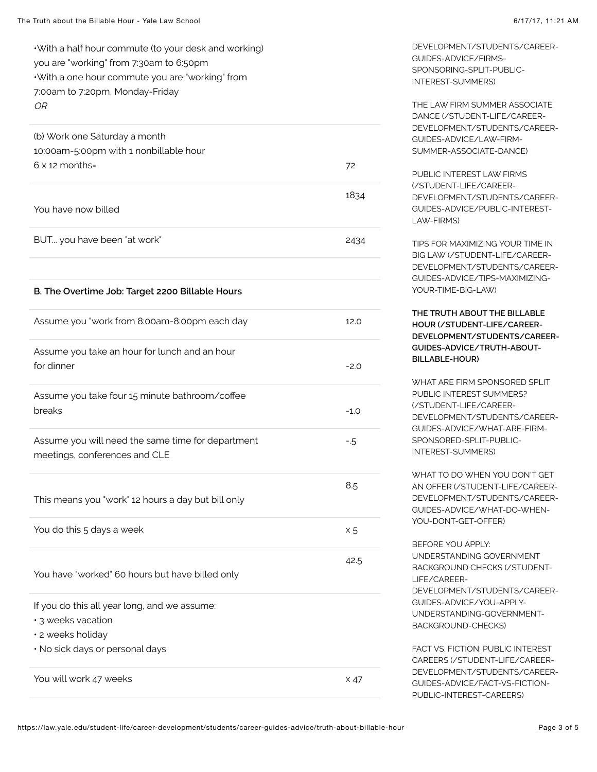•With a half hour commute (to your desk and working) you are "working" from 7:30am to 6:50pm •With a one hour commute you are "working" from 7:00am to 7:20pm, Monday-Friday OR

| (b) Work one Saturday a month<br>10:00am-5:00pm with 1 nonbillable hour                                                    |             |
|----------------------------------------------------------------------------------------------------------------------------|-------------|
| $6 \times 12$ months=                                                                                                      | 72          |
| You have now billed                                                                                                        | 1834        |
| BUT you have been "at work"                                                                                                | 2434        |
|                                                                                                                            |             |
| B. The Overtime Job: Target 2200 Billable Hours                                                                            |             |
| Assume you "work from 8:00am-8:00pm each day                                                                               | 12.0        |
| Assume you take an hour for lunch and an hour<br>for dinner                                                                | $-2.0$      |
| Assume you take four 15 minute bathroom/coffee<br>breaks                                                                   | $-1.0$      |
| Assume you will need the same time for department<br>meetings, conferences and CLE                                         | $-5$        |
| This means you "work" 12 hours a day but bill only                                                                         | 8.5         |
| You do this 5 days a week                                                                                                  | $\times 5$  |
| You have "worked" 60 hours but have billed only                                                                            | 42.5        |
| If you do this all year long, and we assume:<br>· 3 weeks vacation<br>· 2 weeks holiday<br>· No sick days or personal days |             |
| You will work 47 weeks                                                                                                     | $\times$ 47 |

[DEVELOPMENT/STUDENTS/CAREER-](https://law.yale.edu/student-life/career-development/students/career-guides-advice/firms-sponsoring-split-public-interest-summers)GUIDES-ADVICE/FIRMS-SPONSORING-SPLIT-PUBLIC-INTEREST-SUMMERS)

THE LAW FIRM SUMMER ASSOCIATE DANCE (/STUDENT-LIFE/CAREER-[DEVELOPMENT/STUDENTS/CAREER-](https://law.yale.edu/student-life/career-development/students/career-guides-advice/law-firm-summer-associate-dance)GUIDES-ADVICE/LAW-FIRM-SUMMER-ASSOCIATE-DANCE)

PUBLIC INTEREST LAW FIRMS (/STUDENT-LIFE/CAREER-[DEVELOPMENT/STUDENTS/CAREER-](https://law.yale.edu/student-life/career-development/students/career-guides-advice/public-interest-law-firms)GUIDES-ADVICE/PUBLIC-INTEREST-LAW-FIRMS)

TIPS FOR MAXIMIZING YOUR TIME IN BIG LAW (/STUDENT-LIFE/CAREER-[DEVELOPMENT/STUDENTS/CAREER-](https://law.yale.edu/student-life/career-development/students/career-guides-advice/tips-maximizing-your-time-big-law)GUIDES-ADVICE/TIPS-MAXIMIZING-YOUR-TIME-BIG-LAW)

**THE TRUTH ABOUT THE BILLABLE HOUR (/STUDENT-LIFE/CAREER-[DEVELOPMENT/STUDENTS/CAREER-](https://law.yale.edu/student-life/career-development/students/career-guides-advice/truth-about-billable-hour)GUIDES-ADVICE/TRUTH-ABOUT-BILLABLE-HOUR)**

WHAT ARE FIRM SPONSORED SPLIT PUBLIC INTEREST SUMMERS? (/STUDENT-LIFE/CAREER-[DEVELOPMENT/STUDENTS/CAREER-](https://law.yale.edu/student-life/career-development/students/career-guides-advice/what-are-firm-sponsored-split-public-interest-summers)GUIDES-ADVICE/WHAT-ARE-FIRM-SPONSORED-SPLIT-PUBLIC-INTEREST-SUMMERS)

WHAT TO DO WHEN YOU DON'T GET AN OFFER (/STUDENT-LIFE/CAREER-[DEVELOPMENT/STUDENTS/CAREER-](https://law.yale.edu/student-life/career-development/students/career-guides-advice/what-do-when-you-dont-get-offer)GUIDES-ADVICE/WHAT-DO-WHEN-YOU-DONT-GET-OFFER)

BEFORE YOU APPLY: UNDERSTANDING GOVERNMENT BACKGROUND CHECKS (/STUDENT-LIFE/CAREER-[DEVELOPMENT/STUDENTS/CAREER-](https://law.yale.edu/student-life/career-development/students/career-guides-advice/you-apply-understanding-government-background-checks)GUIDES-ADVICE/YOU-APPLY-UNDERSTANDING-GOVERNMENT-BACKGROUND-CHECKS)

FACT VS. FICTION: PUBLIC INTEREST CAREERS (/STUDENT-LIFE/CAREER-[DEVELOPMENT/STUDENTS/CAREER-](https://law.yale.edu/student-life/career-development/students/career-guides-advice/fact-vs-fiction-public-interest-careers)GUIDES-ADVICE/FACT-VS-FICTION-PUBLIC-INTEREST-CAREERS)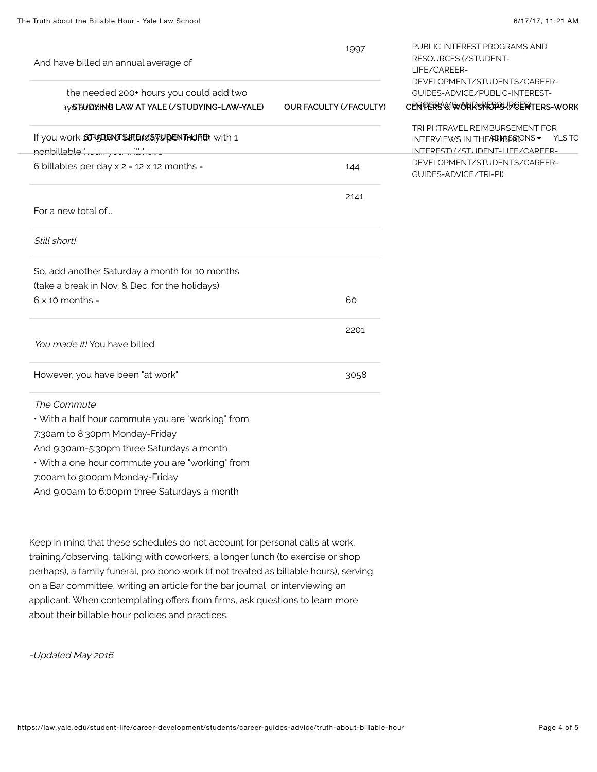| And have billed an annual average of                                                           | 1997                          | PUBLIC INTEREST PROGRAMS AND<br><b>RESOURCES (/STUDENT-</b><br>LIFE/CAREER-                                       |
|------------------------------------------------------------------------------------------------|-------------------------------|-------------------------------------------------------------------------------------------------------------------|
| the needed 200+ hours you could add two<br><b>IVS BUDUING LAW AT YALE (/STUDYING-LAW-YALE)</b> | <b>OUR FACULTY (/FACULTY)</b> | DEVELOPMENT/STUDENTS/CAREER-<br>GUIDES-ADVICE/PUBLIC-INTEREST-<br>CERPERS & WORRSPFODS (REERTERS-WORK             |
| If you work SJUDENT SHIE Id STUDEN TAILITED with 1<br>nonbillable hours you will have          |                               | TRI PI (TRAVEL REIMBURSEMENT FOR<br>INTERVIEWS IN THEARD MESSONS -<br>YLS TO<br>INTEREST) (/STUDENT-I IFF/CAREER- |
| 6 billables per day $x$ 2 = 12 $x$ 12 months =                                                 | 144                           | DEVELOPMENT/STUDENTS/CAREER-<br>GUIDES-ADVICE/TRI-PI)                                                             |
|                                                                                                | 2141                          |                                                                                                                   |
| For a new total of                                                                             |                               |                                                                                                                   |
| Still short!                                                                                   |                               |                                                                                                                   |
| So, add another Saturday a month for 10 months                                                 |                               |                                                                                                                   |
| (take a break in Nov. & Dec. for the holidays)<br>$6 \times 10$ months =                       | 60                            |                                                                                                                   |
|                                                                                                |                               |                                                                                                                   |
|                                                                                                | 2201                          |                                                                                                                   |
| You made it! You have billed                                                                   |                               |                                                                                                                   |
| However, you have been "at work"                                                               | 3058                          |                                                                                                                   |
| The Commute                                                                                    |                               |                                                                                                                   |
| • With a half hour commute you are "working" from                                              |                               |                                                                                                                   |
| 7:30am to 8:30pm Monday-Friday                                                                 |                               |                                                                                                                   |
| And 9:30am-5:30pm three Saturdays a month                                                      |                               |                                                                                                                   |
| • With a one hour commute you are "working" from                                               |                               |                                                                                                                   |

7:00am to 9:00pm Monday-Friday

And 9:00am to 6:00pm three Saturdays a month

Keep in mind that these schedules do not account for personal calls at work, training/observing, talking with coworkers, a longer lunch (to exercise or shop perhaps), a family funeral, pro bono work (if not treated as billable hours), serving on a Bar committee, writing an article for the bar journal, or interviewing an applicant. When contemplating offers from firms, ask questions to learn more about their billable hour policies and practices.

-Updated May 2016